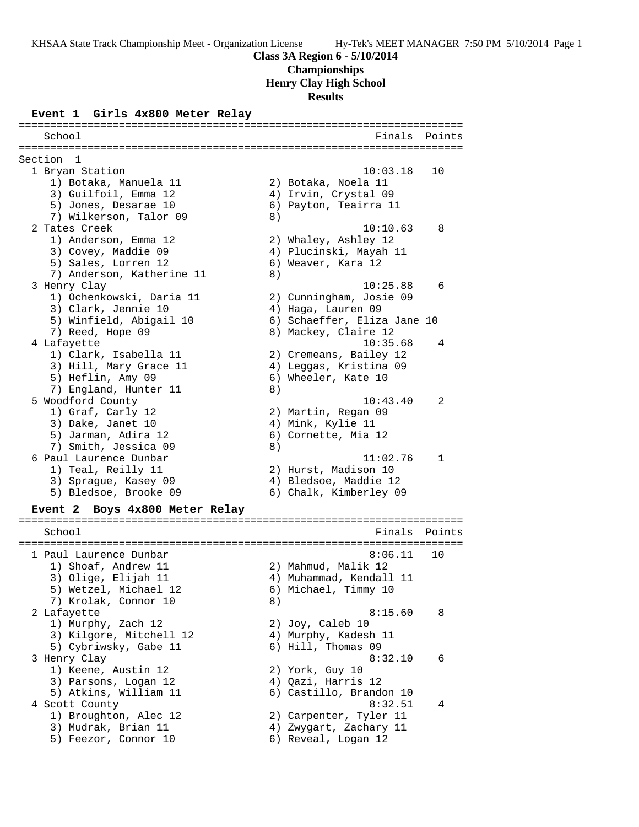**Championships**

**Henry Clay High School**

**Results**

#### **Event 1 Girls 4x800 Meter Relay**

======================================================================= School **Finals** Points ======================================================================= Section 1<br>1 Bryan Station 1 Bryan Station 10:03.18 10 1) Botaka, Manuela 11 2) Botaka, Noela 11 3) Guilfoil, Emma 12 4) Irvin, Crystal 09 5) Jones, Desarae 10 6) Payton, Teairra 11 7) Wilkerson, Talor 09 8) 2 Tates Creek 10:10.63 8 1) Anderson, Emma 12 2) Whaley, Ashley 12 3) Covey, Maddie 09 4) Plucinski, Mayah 11 5) Sales, Lorren 12 (6) Weaver, Kara 12 7) Anderson, Katherine 11 (8) 3 Henry Clay 10:25.88 6 1) Ochenkowski, Daria 11 2) Cunningham, Josie 09 3) Clark, Jennie 10  $\hskip1cm \hskip1cm 4$ ) Haga, Lauren 09 5) Winfield, Abigail 10 6) Schaeffer, Eliza Jane 10 7) Reed, Hope 09 8) Mackey, Claire 12 4 Lafayette 10:35.68 4 1) Clark, Isabella 11 2) Cremeans, Bailey 12 3) Hill, Mary Grace 11 4) Leggas, Kristina 09 5) Heflin, Amy 09 6) Wheeler, Kate 10 7) England, Hunter 11 and 8) 5 Woodford County 10:43.40 2 1) Graf, Carly 12 2) Martin, Regan 09 3) Dake, Janet 10  $\hskip1cm$  4) Mink, Kylie 11 5) Jarman, Adira 12 6) Cornette, Mia 12 7) Smith, Jessica 09 8) 6 Paul Laurence Dunbar 11:02.76 1 1) Teal, Reilly 11 2) Hurst, Madison 10 3) Sprague, Kasey 09 4) Bledsoe, Maddie 12 5) Bledsoe, Brooke 09 6) Chalk, Kimberley 09 **Event 2 Boys 4x800 Meter Relay** ======================================================================= School **Finals Points** ======================================================================= 1 Paul Laurence Dunbar 8:06.11 10 1) Shoaf, Andrew 11 2) Mahmud, Malik 12 3) Olige, Elijah 11 4) Muhammad, Kendall 11 5) Wetzel, Michael 12 6) Michael, Timmy 10 7) Krolak, Connor 10 8) 2 Lafayette 8:15.60 8 1) Murphy, Zach 12 2) Joy, Caleb 10 3) Kilgore, Mitchell 12  $\hskip1cm$  4) Murphy, Kadesh 11 5) Cybriwsky, Gabe 11 6) Hill, Thomas 09 3 Henry Clay 8:32.10 6 1) Keene, Austin 12 2) York, Guy 10 3) Parsons, Logan 12 4) Qazi, Harris 12 5) Atkins, William 11 6) Castillo, Brandon 10 4 Scott County 6:32.51 4 1) Broughton, Alec 12 2) Carpenter, Tyler 11 3) Mudrak, Brian 11 4) Zwygart, Zachary 11 5) Feezor, Connor 10 (6) Reveal, Logan 12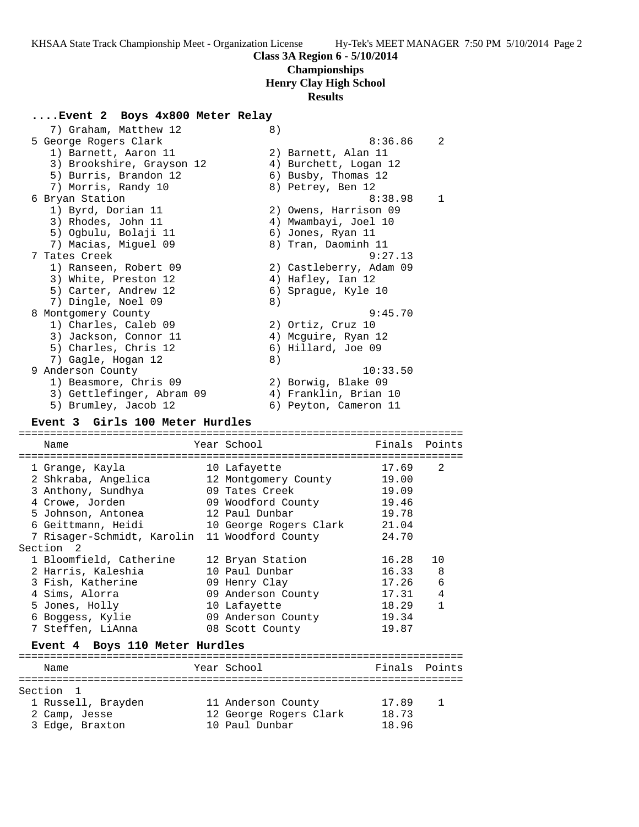# **Championships**

## **Henry Clay High School**

#### **Results**

### **....Event 2 Boys 4x800 Meter Relay**

| 7) Graham, Matthew 12     | 8)                      |
|---------------------------|-------------------------|
| 5 George Rogers Clark     | 2<br>8:36.86            |
| 1) Barnett, Aaron 11      | 2) Barnett, Alan 11     |
| 3) Brookshire, Grayson 12 | 4) Burchett, Logan 12   |
| 5) Burris, Brandon 12     | 6) Busby, Thomas 12     |
| 7) Morris, Randy 10       | 8) Petrey, Ben 12       |
| 6 Bryan Station           | 8:38.98<br>$\mathbf{1}$ |
| 1) Byrd, Dorian 11        | 2) Owens, Harrison 09   |
| 3) Rhodes, John 11        | 4) Mwambayi, Joel 10    |
| 5) Oqbulu, Bolaji 11      | 6) Jones, Ryan 11       |
| 7) Macias, Miquel 09      | 8) Tran, Daominh 11     |
| 7 Tates Creek             | 9:27.13                 |
| 1) Ranseen, Robert 09     | 2) Castleberry, Adam 09 |
| 3) White, Preston 12      | 4) Hafley, Ian 12       |
| 5) Carter, Andrew 12      | 6) Spraque, Kyle 10     |
| 7) Dingle, Noel 09        | 8)                      |
| 8 Montgomery County       | 9:45.70                 |
| 1) Charles, Caleb 09      | 2) Ortiz, Cruz 10       |
| 3) Jackson, Connor 11     | 4) Mcquire, Ryan 12     |
| 5) Charles, Chris 12      | 6) Hillard, Joe 09      |
| 7) Gagle, Hogan 12        | 8)                      |
| 9 Anderson County         | 10:33.50                |
| 1) Beasmore, Chris 09     | 2) Borwig, Blake 09     |
| 3) Gettlefinger, Abram 09 | 4) Franklin, Brian 10   |
| 5) Brumley, Jacob 12      | 6) Peyton, Cameron 11   |

#### **Event 3 Girls 100 Meter Hurdles**

======================================================================= Year School **Finals** Points ======================================================================= 1 Grange, Kayla 10 Lafayette 17.69 2 2 Shkraba, Angelica 12 Montgomery County 19.00 3 Anthony, Sundhya 09 Tates Creek 19.09 4 Crowe, Jorden 09 Woodford County 19.46 5 Johnson, Antonea 12 Paul Dunbar 19.78 6 Geittmann, Heidi 10 George Rogers Clark 21.04 7 Risager-Schmidt, Karolin 11 Woodford County 24.70 Section 2 1 Bloomfield, Catherine 12 Bryan Station 16.28 10 2 Harris, Kaleshia 10 Paul Dunbar 16.33 8 3 Fish, Katherine 09 Henry Clay 17.26 6 4 Sims, Alorra 09 Anderson County 17.31 4 5 Jones, Holly 10 Lafayette 18.29 1 6 Boggess, Kylie 09 Anderson County 19.34 7 Steffen, LiAnna 08 Scott County 19.87 **Event 4 Boys 110 Meter Hurdles** ======================================================================= Name The Year School Team Points Points ======================================================================= Section 1 1 Russell, Brayden 11 Anderson County 17.89 1 2 Camp, Jesse 12 George Rogers Clark 18.73

3 Edge, Braxton 10 Paul Dunbar 18.96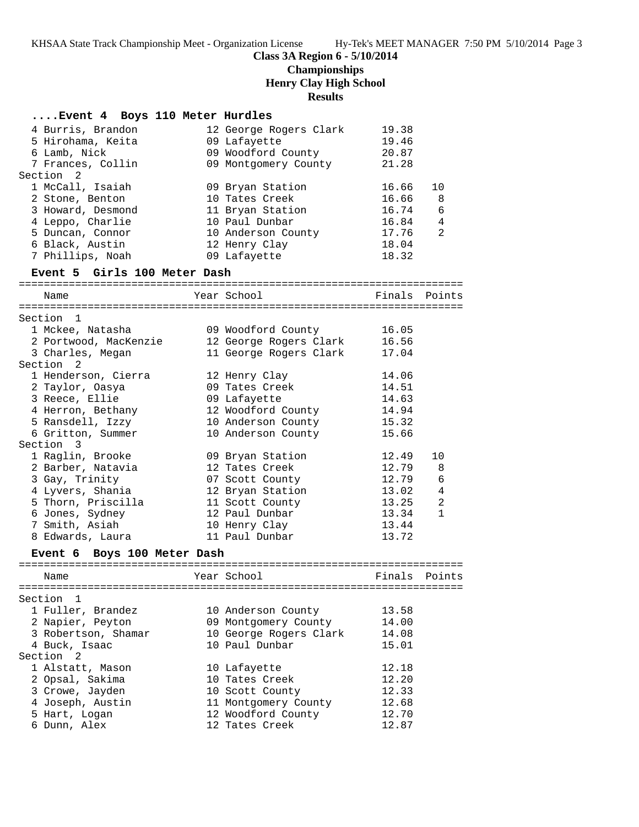# **Class 3A Region 6 - 5/10/2014 Championships Henry Clay High School**

**Results**

| Event 4 Boys 110 Meter Hurdles |  |  |                              |                        |       |               |
|--------------------------------|--|--|------------------------------|------------------------|-------|---------------|
| 4 Burris, Brandon              |  |  |                              | 12 George Rogers Clark | 19.38 |               |
| 5 Hirohama, Keita              |  |  |                              | 09 Lafayette           | 19.46 |               |
| 6 Lamb, Nick                   |  |  |                              | 09 Woodford County     | 20.87 |               |
| 7 Frances, Collin              |  |  |                              | 09 Montgomery County   | 21.28 |               |
| Section <sub>2</sub>           |  |  |                              |                        |       |               |
| 1 McCall, Isaiah               |  |  |                              | 09 Bryan Station       | 16.66 | 10            |
| 2 Stone, Benton                |  |  |                              | 10 Tates Creek         | 16.66 | -8            |
| 3 Howard, Desmond              |  |  |                              | 11 Bryan Station       | 16.74 | 6             |
| 4 Leppo, Charlie               |  |  |                              | 10 Paul Dunbar         | 16.84 | 4             |
| 5 Duncan, Connor               |  |  |                              | 10 Anderson County     | 17.76 | 2             |
| 6 Black, Austin                |  |  |                              | 12 Henry Clay          | 18.04 |               |
| 7 Phillips, Noah               |  |  |                              | 09 Lafayette           | 18.32 |               |
| Event 5 Girls 100 Meter Dash   |  |  |                              |                        |       |               |
| Name                           |  |  |                              | Year School            |       | Finals Points |
|                                |  |  |                              |                        |       |               |
| Section 1                      |  |  |                              |                        |       |               |
| 1 Mckee, Natasha               |  |  |                              | 09 Woodford County     | 16.05 |               |
| 2 Portwood, MacKenzie          |  |  |                              | 12 George Rogers Clark | 16.56 |               |
| 3 Charles, Megan<br>Section 2  |  |  |                              | 11 George Rogers Clark | 17.04 |               |
| 1 Henderson, Cierra            |  |  |                              | 12 Henry Clay          | 14.06 |               |
| 2 Taylor, Oasya                |  |  |                              | 09 Tates Creek         | 14.51 |               |
| 3 Reece, Ellie                 |  |  |                              | 09 Lafayette           | 14.63 |               |
| 4 Herron, Bethany              |  |  |                              | 12 Woodford County     | 14.94 |               |
| 5 Ransdell, Izzy               |  |  |                              | 10 Anderson County     | 15.32 |               |
| 6 Gritton, Summer              |  |  |                              | 10 Anderson County     | 15.66 |               |
| Section 3                      |  |  |                              |                        |       |               |
| 1 Raglin, Brooke               |  |  |                              | 09 Bryan Station       | 12.49 | 10            |
| 2 Barber, Natavia              |  |  |                              | 12 Tates Creek         | 12.79 | 8             |
| 3 Gay, Trinity                 |  |  |                              | 07 Scott County        | 12.79 | 6             |
| 4 Lyvers, Shania               |  |  |                              | 12 Bryan Station       | 13.02 | 4             |
| 5 Thorn, Priscilla             |  |  |                              | 11 Scott County        | 13.25 | 2             |
| 6 Jones, Sydney                |  |  |                              | 12 Paul Dunbar         | 13.34 | $\mathbf{1}$  |
| 7 Smith, Asiah                 |  |  |                              | 10 Henry Clay          | 13.44 |               |
| 8 Edwards, Laura               |  |  |                              | 11 Paul Dunbar         | 13.72 |               |
| Event 6 Boys 100 Meter Dash    |  |  |                              |                        |       |               |
| Name                           |  |  | <b>Example 2</b> Year School |                        |       | Finals Points |
|                                |  |  |                              |                        |       |               |
| Section <sub>1</sub>           |  |  |                              |                        |       |               |
| 1 Fuller, Brandez              |  |  |                              | 10 Anderson County     | 13.58 |               |
| 2 Napier, Peyton               |  |  |                              | 09 Montgomery County   | 14.00 |               |
| 3 Robertson, Shamar            |  |  |                              | 10 George Rogers Clark | 14.08 |               |
| 4 Buck, Isaac                  |  |  |                              | 10 Paul Dunbar         | 15.01 |               |
| Section<br>-2                  |  |  |                              |                        |       |               |
| 1 Alstatt, Mason               |  |  |                              | 10 Lafayette           | 12.18 |               |
| 2 Opsal, Sakima                |  |  |                              | 10 Tates Creek         | 12.20 |               |
| 3 Crowe, Jayden                |  |  |                              | 10 Scott County        | 12.33 |               |
| 4 Joseph, Austin               |  |  |                              | 11 Montgomery County   | 12.68 |               |
| 5 Hart, Logan                  |  |  |                              | 12 Woodford County     | 12.70 |               |
| 6 Dunn, Alex                   |  |  |                              | 12 Tates Creek         | 12.87 |               |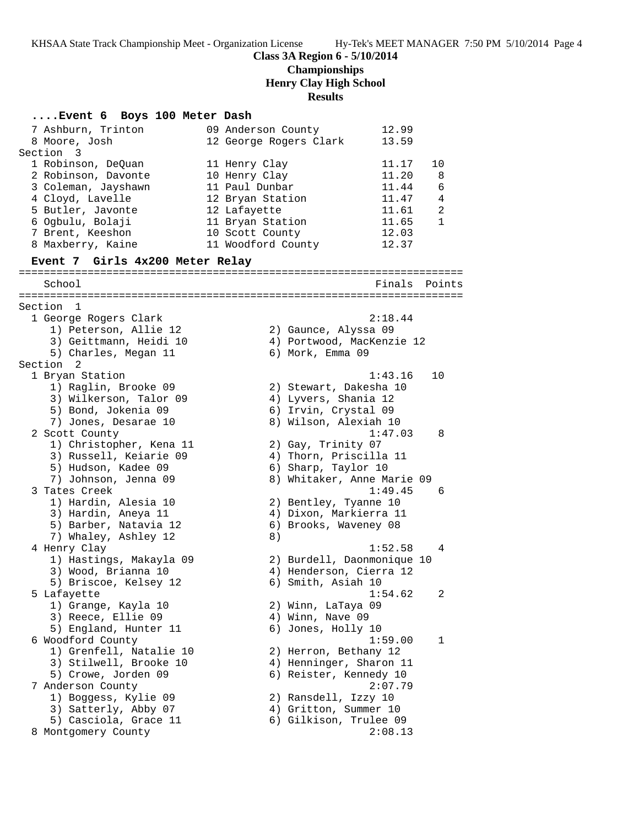## **Class 3A Region 6 - 5/10/2014 Championships Henry Clay High School Results**

# **....Event 6 Boys 100 Meter Dash**

| 7 Ashburn, Trinton<br>8 Moore, Josh<br>Section 3 | 09 Anderson County | 12 George Rogers Clark     | 12.99<br>13.59 |              |
|--------------------------------------------------|--------------------|----------------------------|----------------|--------------|
| 1 Robinson, DeQuan                               | 11 Henry Clay      |                            | 11.17          | 10           |
| 2 Robinson, Davonte                              | 10 Henry Clay      |                            | 11.20          | 8            |
| 3 Coleman, Jayshawn                              | 11 Paul Dunbar     |                            | 11.44          | 6            |
| 4 Cloyd, Lavelle                                 | 12 Bryan Station   |                            | 11.47          | 4            |
| 5 Butler, Javonte                                | 12 Lafayette       |                            | 11.61          | 2            |
| 6 Ogbulu, Bolaji                                 | 11 Bryan Station   |                            | 11.65          | $\mathbf{1}$ |
| 7 Brent, Keeshon                                 | 10 Scott County    |                            | 12.03          |              |
| 8 Maxberry, Kaine                                | 11 Woodford County |                            | 12.37          |              |
| Event 7 Girls 4x200 Meter Relay                  |                    |                            |                |              |
| School                                           |                    |                            | Finals         | Points       |
| Section 1                                        |                    |                            |                |              |
| 1 George Rogers Clark                            |                    |                            | 2:18.44        |              |
| 1) Peterson, Allie 12                            |                    | 2) Gaunce, Alyssa 09       |                |              |
| 3) Geittmann, Heidi 10                           |                    | 4) Portwood, MacKenzie 12  |                |              |
| 5) Charles, Megan 11                             |                    | 6) Mork, Emma 09           |                |              |
| Section 2                                        |                    |                            |                |              |
| 1 Bryan Station                                  |                    |                            | 1:43.16        | 10           |
| 1) Raglin, Brooke 09                             |                    | 2) Stewart, Dakesha 10     |                |              |
| 3) Wilkerson, Talor 09                           |                    | 4) Lyvers, Shania 12       |                |              |
| 5) Bond, Jokenia 09                              |                    | 6) Irvin, Crystal 09       |                |              |
| 7) Jones, Desarae 10                             |                    | 8) Wilson, Alexiah 10      |                |              |
| 2 Scott County                                   |                    |                            | 1:47.03        | 8            |
| 1) Christopher, Kena 11                          |                    | 2) Gay, Trinity 07         |                |              |
| 3) Russell, Keiarie 09                           |                    | 4) Thorn, Priscilla 11     |                |              |
| 5) Hudson, Kadee 09                              |                    | 6) Sharp, Taylor 10        |                |              |
| 7) Johnson, Jenna 09                             |                    | 8) Whitaker, Anne Marie 09 |                |              |
| 3 Tates Creek                                    |                    |                            | 1:49.45        | 6            |
| 1) Hardin, Alesia 10                             |                    | 2) Bentley, Tyanne 10      |                |              |
| 3) Hardin, Aneya 11                              |                    | 4) Dixon, Markierra 11     |                |              |
| 5) Barber, Natavia 12                            |                    | 6) Brooks, Waveney 08      |                |              |
| 7) Whaley, Ashley 12                             | 8)                 |                            |                |              |
| 4 Henry Clay                                     |                    |                            | 1:52.58        | 4            |
| 1) Hastings, Makayla 09                          |                    | 2) Burdell, Daonmonique 10 |                |              |
| 3) Wood, Brianna 10                              |                    | 4) Henderson, Cierra 12    |                |              |
| 5) Briscoe, Kelsey 12                            |                    | 6) Smith, Asiah 10         |                |              |
| 5 Lafayette                                      |                    |                            | 1:54.62        | 2            |
| 1) Grange, Kayla 10                              |                    | 2) Winn, LaTaya 09         |                |              |
| 3) Reece, Ellie 09                               |                    | 4) Winn, Nave 09           |                |              |
| 5) England, Hunter 11                            |                    | 6) Jones, Holly 10         |                |              |
| 6 Woodford County                                |                    |                            | 1:59.00        | 1            |
| 1) Grenfell, Natalie 10                          |                    | 2) Herron, Bethany 12      |                |              |
| 3) Stilwell, Brooke 10                           |                    | 4) Henninger, Sharon 11    |                |              |
| 5) Crowe, Jorden 09                              |                    | 6) Reister, Kennedy 10     |                |              |
| 7 Anderson County                                |                    |                            | 2:07.79        |              |
| 1) Boggess, Kylie 09                             |                    | 2) Ransdell, Izzy 10       |                |              |
| 3) Satterly, Abby 07                             |                    | 4) Gritton, Summer 10      |                |              |
| 5) Casciola, Grace 11                            |                    | 6) Gilkison, Trulee 09     |                |              |
| 8 Montgomery County                              |                    |                            | 2:08.13        |              |
|                                                  |                    |                            |                |              |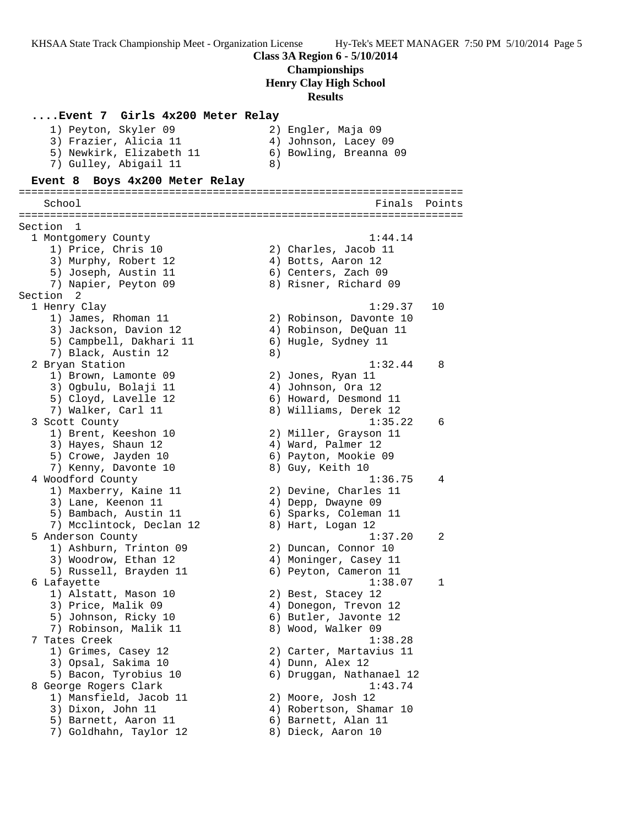### **Class 3A Region 6 - 5/10/2014**

# **Championships**

**Henry Clay High School**

### **Results**

**....Event 7 Girls 4x200 Meter Relay** 1) Peyton, Skyler 09 2) Engler, Maja 09 3) Frazier, Alicia 11 (4) Johnson, Lacey 09 5) Newkirk, Elizabeth 11 6) Bowling, Breanna 09 7) Gulley, Abigail 11 8) **Event 8 Boys 4x200 Meter Relay** ======================================================================= School Finals Points ======================================================================= Section 1<br>1 Montgomery County 1 Montgomery County 1:44.14 1) Price, Chris 10 2) Charles, Jacob 11 3) Murphy, Robert 12 (4) Botts, Aaron 12 5) Joseph, Austin 11 (6) Centers, Zach 09 7) Napier, Peyton 09 8) Risner, Richard 09 Section 2<br>1 Henry Clay 1 Henry Clay 1:29.37 10 1) James, Rhoman 11 2) Robinson, Davonte 10 3) Jackson, Davion 12 4) Robinson, DeQuan 11 5) Campbell, Dakhari 11 (6) Hugle, Sydney 11 7) Black, Austin 12 (8) 2 Bryan Station 1:32.44 8 1) Brown, Lamonte 09 2) Jones, Ryan 11 3) Ogbulu, Bolaji 11  $\qquad \qquad \qquad$  4) Johnson, Ora 12 5) Cloyd, Lavelle 12 6) Howard, Desmond 11 7) Walker, Carl 11 8) Williams, Derek 12 3 Scott County 1:35.22 6 1) Brent, Keeshon 10 2) Miller, Grayson 11 3) Hayes, Shaun 12 4) Ward, Palmer 12 5) Crowe, Jayden 10 6) Payton, Mookie 09 7) Kenny, Davonte 10 and 8) Guy, Keith 10 4 Woodford County 1:36.75 4 1) Maxberry, Kaine 11 2) Devine, Charles 11 3) Lane, Keenon 11 (4) Depp, Dwayne 09 5) Bambach, Austin 11 6) Sparks, Coleman 11 7) Mcclintock, Declan 12 and 8) Hart, Logan 12 5 Anderson County 1:37.20 2 1) Ashburn, Trinton 09 2) Duncan, Connor 10 3) Woodrow, Ethan 12 4) Moninger, Casey 11 5) Russell, Brayden 11 6) Peyton, Cameron 11 6 Lafayette 1:38.07 1 1) Alstatt, Mason 10 2) Best, Stacey 12 3) Price, Malik 09 4) Donegon, Trevon 12 5) Johnson, Ricky 10 6) Butler, Javonte 12 7) Robinson, Malik 11 and 8) Wood, Walker 09 7 Tates Creek 1:38.28 1) Grimes, Casey 12 2) Carter, Martavius 11 3) Opsal, Sakima 10  $\hskip1cm$  4) Dunn, Alex 12 5) Bacon, Tyrobius 10 6) Druggan, Nathanael 12 8 George Rogers Clark 1:43.74 1) Mansfield, Jacob 11 2) Moore, Josh 12 3) Dixon, John 11 4) Robertson, Shamar 10 5) Barnett, Aaron 11 (6) Barnett, Alan 11 7) Goldhahn, Taylor 12 8) Dieck, Aaron 10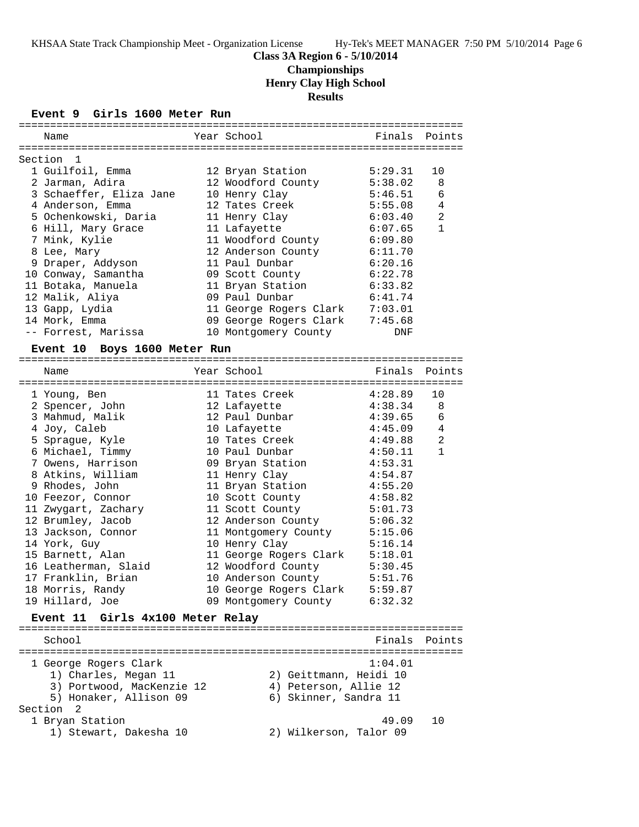**Championships**

**Henry Clay High School**

**Results**

#### **Event 9 Girls 1600 Meter Run**

| Name                                                           | Year School                           | Finals Points                              |                |
|----------------------------------------------------------------|---------------------------------------|--------------------------------------------|----------------|
| Section 1                                                      |                                       |                                            |                |
| 1 Guilfoil, Emma                                               | 12 Bryan Station                      | 5:29.31                                    | 10             |
| 2 Jarman, Adira                                                | 12 Woodford County 5:38.02            |                                            | - 8            |
| 3 Schaeffer, Eliza Jane                                        | 10 Henry Clay                         | 5:46.51                                    | 6              |
| 4 Anderson, Emma                                               | 12 Tates Creek 5:55.08                |                                            | $\overline{4}$ |
| 5 Ochenkowski, Daria                                           | 11 Henry Clay                         | 6:03.40                                    | 2              |
| 6 Hill, Mary Grace                                             | 11 Lafayette                          | 6:07.65                                    | $\mathbf{1}$   |
| 7 Mink, Kylie                                                  | 11 Woodford County 6:09.80            |                                            |                |
| 8 Lee, Mary                                                    | 12 Anderson County 6:11.70            |                                            |                |
| 9 Draper, Addyson                                              | 11 Paul Dunbar 6:20.16                |                                            |                |
| 10 Conway, Samantha                                            | 09 Scott County                       | 6:22.78                                    |                |
| 11 Botaka, Manuela                                             | 11 Bryan Station 6:33.82              |                                            |                |
| 12 Malik, Aliya                                                | 09 Paul Dunbar                        | 6:41.74                                    |                |
| 13 Gapp, Lydia                                                 | 11 George Rogers Clark 7:03.01        |                                            |                |
| 14 Mork, Emma                                                  | 09 George Rogers Clark 7:45.68        |                                            |                |
| -- Forrest, Marissa                                            | 10 Montgomery County                  | DNF                                        |                |
| Event 10 Boys 1600 Meter Run                                   |                                       |                                            |                |
| Name                                                           | ----------------------<br>Year School | Finals Points<br>:======================== |                |
| ================<br>$1.77$ $D$ $D$ $11.77$ $21$ $1.20000$ $10$ |                                       |                                            |                |

| 1 Young, Ben         | 11 Tates Creek         | 4:28.89 | 10             |
|----------------------|------------------------|---------|----------------|
| 2 Spencer, John      | 12 Lafayette           | 4:38.34 | 8              |
| 3 Mahmud, Malik      | 12 Paul Dunbar         | 4:39.65 | 6              |
| 4 Joy, Caleb         | 10 Lafayette           | 4:45.09 | $\overline{4}$ |
| 5 Sprague, Kyle      | 10 Tates Creek         | 4:49.88 | $\overline{2}$ |
| 6 Michael, Timmy     | 10 Paul Dunbar         | 4:50.11 | $\mathbf{1}$   |
| 7 Owens, Harrison    | 09 Bryan Station       | 4:53.31 |                |
| 8 Atkins, William    | 11 Henry Clay          | 4:54.87 |                |
| 9 Rhodes, John       | 11 Bryan Station       | 4:55.20 |                |
| 10 Feezor, Connor    | 10 Scott County        | 4:58.82 |                |
| 11 Zwygart, Zachary  | 11 Scott County        | 5:01.73 |                |
| 12 Brumley, Jacob    | 12 Anderson County     | 5:06.32 |                |
| 13 Jackson, Connor   | 11 Montgomery County   | 5:15.06 |                |
| 14 York, Guy         | 10 Henry Clay          | 5:16.14 |                |
| 15 Barnett, Alan     | 11 George Rogers Clark | 5:18.01 |                |
| 16 Leatherman, Slaid | 12 Woodford County     | 5:30.45 |                |
| 17 Franklin, Brian   | 10 Anderson County     | 5:51.76 |                |
| 18 Morris, Randy     | 10 George Rogers Clark | 5:59.87 |                |
| 19 Hillard, Joe      | 09 Montgomery County   | 6:32.32 |                |
|                      |                        |         |                |

#### **Event 11 Girls 4x100 Meter Relay**

======================================================================= School **Finals** Points **Points** ======================================================================= 1 George Rogers Clark 1:04.01 1) Charles, Megan 11 2) Geittmann, Heidi 10 3) Portwood, MacKenzie 12 4) Peterson, Allie 12 5) Honaker, Allison 09 6) Skinner, Sandra 11 Section 2 1 Bryan Station 49.09 10 1) Stewart, Dakesha 10 2) Wilkerson, Talor 09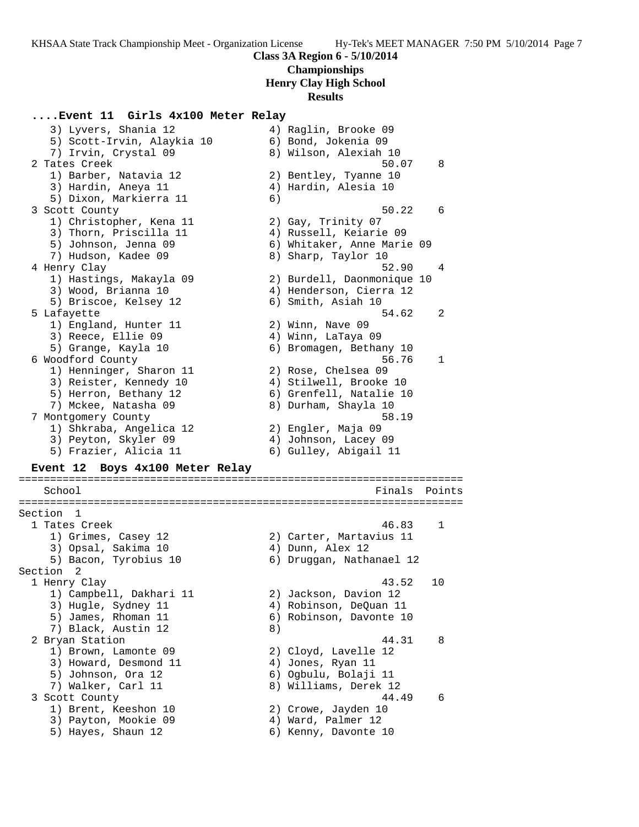**Championships**

**Henry Clay High School**

### **Results**

### **....Event 11 Girls 4x100 Meter Relay**

 3) Lyvers, Shania 12 4) Raglin, Brooke 09 5) Scott-Irvin, Alaykia 10 6) Bond, Jokenia 09 7) Irvin, Crystal 09 8) Wilson, Alexiah 10 2 Tates Creek 50.07 8 1) Barber, Natavia 12 2) Bentley, Tyanne 10 3) Hardin, Aneya 11 (4) Hardin, Alesia 10 5) Dixon, Markierra 11 (6) 3 Scott County 50.22 6 1) Christopher, Kena 11 1 2) Gay, Trinity 07 3) Thorn, Priscilla 11 4) Russell, Keiarie 09 5) Johnson, Jenna 09 6) Whitaker, Anne Marie 09 7) Hudson, Kadee 09 8) Sharp, Taylor 10 4 Henry Clay 62.90 and 1990 and 1991 and 1991 and 1991 and 1991 and 1991 and 1991 and 1991 and 1991 and 1991 and 19 1) Hastings, Makayla 09 2) Burdell, Daonmonique 10 3) Wood, Brianna 10 4) Henderson, Cierra 12 5) Briscoe, Kelsey 12 6) Smith, Asiah 10 5 Lafayette 54.62 2 1) England, Hunter 11 and 2) Winn, Nave 09 3) Reece, Ellie 09 4) Winn, LaTaya 09 5) Grange, Kayla 10 6) Bromagen, Bethany 10 6 Woodford County 56.76 1 1) Henninger, Sharon 11 2) Rose, Chelsea 09 3) Reister, Kennedy 10 4) Stilwell, Brooke 10 5) Herron, Bethany 12 (6) Grenfell, Natalie 10 7) Mckee, Natasha 09 8) Durham, Shayla 10 7 Montgomery County 58.19 1) Shkraba, Angelica 12 2) Engler, Maja 09 3) Peyton, Skyler 09 4) Johnson, Lacey 09 5) Frazier, Alicia 11 6) Gulley, Abigail 11 **Event 12 Boys 4x100 Meter Relay** ======================================================================= School Finals Points ======================================================================= Section 1 1 Tates Creek 46.83 1 1) Grimes, Casey 12 2) Carter, Martavius 11 3) Opsal, Sakima 10 (4) Ann, Alex 12 5) Bacon, Tyrobius 10 6) Druggan, Nathanael 12 Section 2<br>1 Henry Clay 1 Henry Clay 43.52 10 1) Campbell, Dakhari 11 2) Jackson, Davion 12 3) Hugle, Sydney 11 4) Robinson, DeQuan 11 5) James, Rhoman 11 6) Robinson, Davonte 10 7) Black, Austin 12 (8) 2 Bryan Station 44.31 8 1) Brown, Lamonte 09 2) Cloyd, Lavelle 12 3) Howard, Desmond 11  $\qquad \qquad \qquad$  4) Jones, Ryan 11 5) Johnson, Ora 12 6) Ogbulu, Bolaji 11 7) Walker, Carl 11 8) Williams, Derek 12 3 Scott County 44.49 6 1) Brent, Keeshon 10 2) Crowe, Jayden 10 3) Payton, Mookie 09 (4) Ward, Palmer 12 5) Hayes, Shaun 12 (6) Kenny, Davonte 10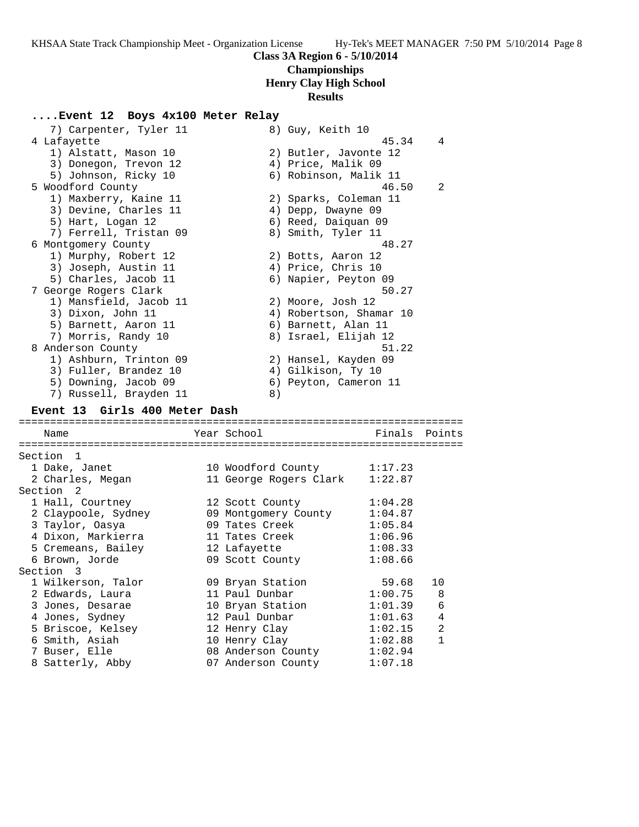# **Class 3A Region 6 - 5/10/2014 Championships**

**Henry Clay High School**

## **Results**

## **....Event 12 Boys 4x100 Meter Relay**

| 7) Carpenter, Tyler 11            | 8) Guy, Keith 10                         |         |               |
|-----------------------------------|------------------------------------------|---------|---------------|
| 4 Lafayette                       |                                          | 45.34   | 4             |
| 1) Alstatt, Mason 10              | 2) Butler, Javonte 12                    |         |               |
| 3) Donegon, Trevon 12             | 4) Price, Malik 09                       |         |               |
| 5) Johnson, Ricky 10              | 6) Robinson, Malik 11                    |         |               |
| 5 Woodford County                 |                                          | 46.50   | 2             |
| 1) Maxberry, Kaine 11             | 2) Sparks, Coleman 11                    |         |               |
| 3) Devine, Charles 11             | 4) Depp, Dwayne 09                       |         |               |
| 5) Hart, Logan 12                 | 6) Reed, Daiquan 09                      |         |               |
| 7) Ferrell, Tristan 09            | 8) Smith, Tyler 11                       |         |               |
| 6 Montgomery County               |                                          | 48.27   |               |
| 1) Murphy, Robert 12              | 2) Botts, Aaron 12                       |         |               |
| 3) Joseph, Austin 11              | 4) Price, Chris 10                       |         |               |
| 5) Charles, Jacob 11              | 6) Napier, Peyton 09                     |         |               |
| 7 George Rogers Clark             |                                          | 50.27   |               |
| 1) Mansfield, Jacob 11            | 2) Moore, Josh 12                        |         |               |
| 3) Dixon, John 11                 | 4) Robertson, Shamar 10                  |         |               |
| 5) Barnett, Aaron 11              | 6) Barnett, Alan 11                      |         |               |
| 7) Morris, Randy 10               | 8) Israel, Elijah 12                     |         |               |
| 8 Anderson County                 |                                          | 51.22   |               |
| 1) Ashburn, Trinton 09            | 2) Hansel, Kayden 09                     |         |               |
| 3) Fuller, Brandez 10             | 4) Gilkison, Ty 10                       |         |               |
| 5) Downing, Jacob 09              | 6) Peyton, Cameron 11                    |         |               |
| 7) Russell, Brayden 11            | 8)                                       |         |               |
| Event 13 Girls 400 Meter Dash     |                                          |         |               |
|                                   |                                          |         |               |
|                                   | Year School                              |         | Finals Points |
| Name                              |                                          |         |               |
|                                   |                                          |         |               |
| Section 1                         |                                          |         |               |
| 1 Dake, Janet                     | 10 Woodford County                       | 1:17.23 |               |
| 2 Charles, Megan                  | 11 George Rogers Clark 1:22.87           |         |               |
| Section 2                         |                                          |         |               |
| 1 Hall, Courtney                  | 12 Scott County                          | 1:04.28 |               |
| 2 Claypoole, Sydney               | 09 Montgomery County                     | 1:04.87 |               |
| 3 Taylor, Oasya                   | 09 Tates Creek                           | 1:05.84 |               |
| 4 Dixon, Markierra                | 11 Tates Creek                           | 1:06.96 |               |
| 5 Cremeans, Bailey                | 12 Lafayette                             | 1:08.33 |               |
| 6 Brown, Jorde                    | 09 Scott County                          | 1:08.66 |               |
| Section 3                         |                                          |         |               |
| 1 Wilkerson, Talor                | 09 Bryan Station                         | 59.68   | 10            |
| 2 Edwards, Laura                  | 11 Paul Dunbar                           | 1:00.75 | 8             |
| 3 Jones, Desarae                  | 10 Bryan Station                         | 1:01.39 | 6             |
| 4 Jones, Sydney                   | 12 Paul Dunbar                           | 1:01.63 | 4             |
| 5 Briscoe, Kelsey                 | 12 Henry Clay                            | 1:02.15 | 2             |
| 6 Smith, Asiah                    | 10 Henry Clay                            | 1:02.88 | $\mathbf{1}$  |
| 7 Buser, Elle<br>8 Satterly, Abby | 08 Anderson County<br>07 Anderson County | 1:02.94 |               |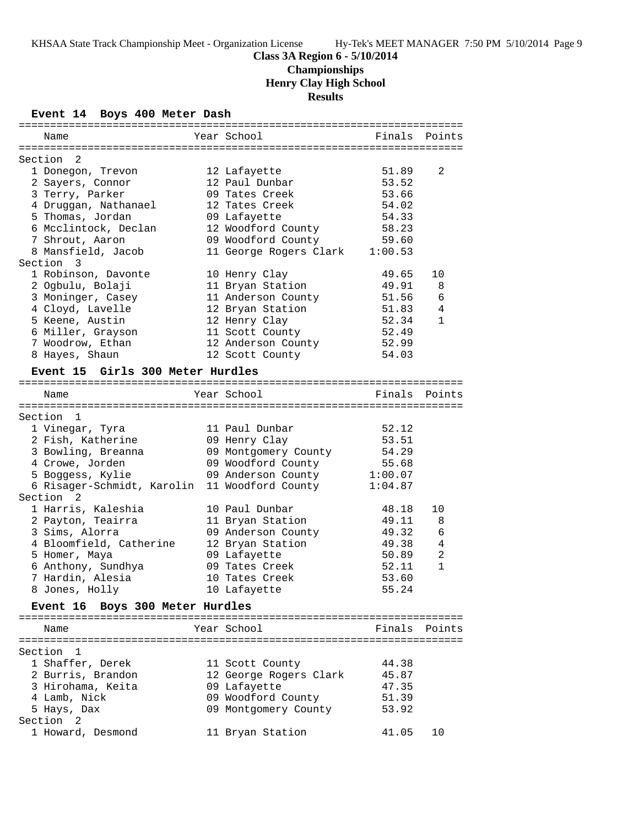# **Championships**

**Henry Clay High School**

**Results**

## **Event 14 Boys 400 Meter Dash**

| Name                             | Year School                | Finals  | Points        |
|----------------------------------|----------------------------|---------|---------------|
|                                  |                            |         |               |
| Section <sub>2</sub>             |                            |         |               |
| 1 Donegon, Trevon                | 12 Lafayette               | 51.89   | 2             |
| 2 Sayers, Connor                 | 12 Paul Dunbar             | 53.52   |               |
| 3 Terry, Parker                  | 09 Tates Creek             | 53.66   |               |
| 4 Druggan, Nathanael             | 12 Tates Creek             | 54.02   |               |
| 5 Thomas, Jordan                 | 09 Lafayette               | 54.33   |               |
| 6 Mcclintock, Declan             | 12 Woodford County         | 58.23   |               |
| 7 Shrout, Aaron                  | 09 Woodford County         | 59.60   |               |
| 8 Mansfield, Jacob               | 11 George Rogers Clark     | 1:00.53 |               |
| Section 3                        |                            |         |               |
| 1 Robinson, Davonte              | 10 Henry Clay              | 49.65   | 10            |
| 2 Ogbulu, Bolaji                 | 11 Bryan Station           | 49.91   | 8             |
| 3 Moninger, Casey                | 11 Anderson County         | 51.56   | 6             |
| 4 Cloyd, Lavelle                 | 12 Bryan Station           | 51.83   | 4             |
| 5 Keene, Austin                  | 12 Henry Clay              | 52.34   | $\mathbf{1}$  |
| 6 Miller, Grayson                | 11 Scott County            | 52.49   |               |
| 7 Woodrow, Ethan                 | 12 Anderson County         | 52.99   |               |
| 8 Hayes, Shaun                   | 12 Scott County            | 54.03   |               |
| Event 15 Girls 300 Meter Hurdles |                            |         |               |
|                                  |                            |         |               |
| Name                             | Year School                |         | Finals Points |
|                                  |                            |         |               |
| Section 1                        |                            |         |               |
| 1 Vinegar, Tyra                  | 11 Paul Dunbar             | 52.12   |               |
| 2 Fish, Katherine                | 09 Henry Clay              | 53.51   |               |
| 3 Bowling, Breanna               | 09 Montgomery County       | 54.29   |               |
| 4 Crowe, Jorden                  | 09 Woodford County         | 55.68   |               |
| 5 Boggess, Kylie                 | 09 Anderson County 1:00.07 |         |               |
| 6 Risager-Schmidt, Karolin       | 11 Woodford County         | 1:04.87 |               |
| Section<br>2                     |                            |         |               |
| 1 Harris, Kaleshia               | 10 Paul Dunbar             | 48.18   | 10            |
| 2 Payton, Teairra                | 11 Bryan Station           | 49.11   | 8             |
| 3 Sims, Alorra                   | 09 Anderson County         | 49.32   | 6             |
| 4 Bloomfield, Catherine          | 12 Bryan Station           | 49.38   | 4             |
| 5 Homer, Maya                    | 09 Lafayette               | 50.89   | 2             |
| 6 Anthony, Sundhya               | 09 Tates Creek             | 52.11   | $\mathbf{1}$  |
| 7 Hardin, Alesia                 | 10 Tates Creek             | 53.60   |               |
| 8 Jones, Holly                   | 10 Lafayette               | 55.24   |               |
| Event 16 Boys 300 Meter Hurdles  |                            |         |               |
|                                  |                            |         |               |
| Name                             | Year School                |         | Finals Points |
|                                  |                            |         |               |
| Section 1                        |                            |         |               |
| 1 Shaffer, Derek                 | 11 Scott County            | 44.38   |               |
| 2 Burris, Brandon                | 12 George Rogers Clark     | 45.87   |               |
| 3 Hirohama, Keita                | 09 Lafayette               | 47.35   |               |
| 4 Lamb, Nick                     | 09 Woodford County         | 51.39   |               |
| 5 Hays, Dax                      | 09 Montgomery County       | 53.92   |               |
| Section<br>2                     |                            |         |               |
| 1 Howard, Desmond                | 11 Bryan Station           | 41.05   | 10            |
|                                  |                            |         |               |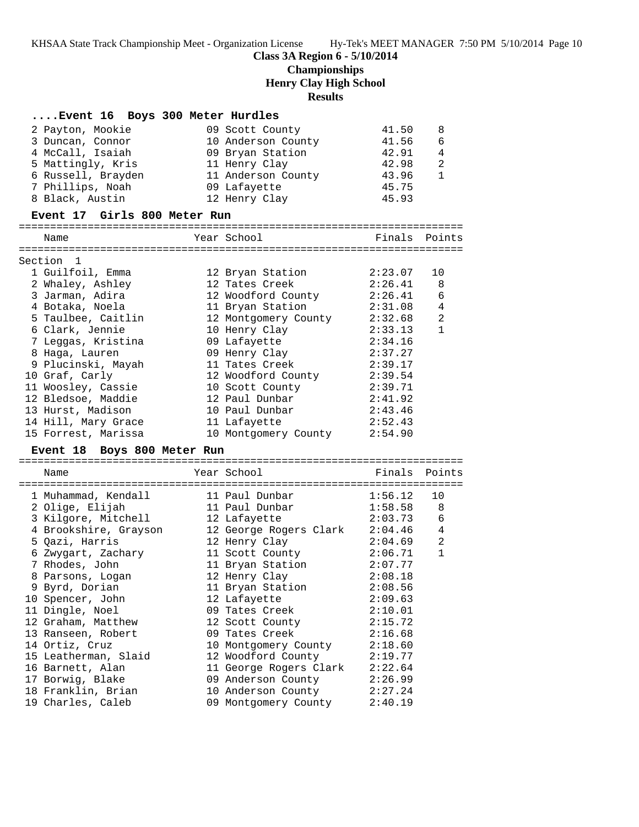### **Class 3A Region 6 - 5/10/2014**

**Championships**

**Henry Clay High School**

**Results**

### **....Event 16 Boys 300 Meter Hurdles**

| 2 Payton, Mookie   | 09 Scott County    | 41.50 | -8 |
|--------------------|--------------------|-------|----|
| 3 Duncan, Connor   | 10 Anderson County | 41.56 | -6 |
| 4 McCall, Isaiah   | 09 Bryan Station   | 42.91 | 4  |
| 5 Mattingly, Kris  | 11 Henry Clay      | 42.98 | 2  |
| 6 Russell, Brayden | 11 Anderson County | 43.96 |    |
| 7 Phillips, Noah   | 09 Lafayette       | 45.75 |    |
| 8 Black, Austin    | 12 Henry Clay      | 45.93 |    |

#### **Event 17 Girls 800 Meter Run**

### ======================================================================= Name The Year School Team Points Points ======================================================================= Section 1 1 Guilfoil, Emma 12 Bryan Station 2:23.07 10 2 Whaley, Ashley 12 Tates Creek 2:26.41 8 3 Jarman, Adira 12 Woodford County 2:26.41 6 4 Botaka, Noela 11 Bryan Station 2:31.08 4 5 Taulbee, Caitlin 12 Montgomery County 2:32.68 2 6 Clark, Jennie 10 Henry Clay 2:33.13 1 7 Leggas, Kristina 09 Lafayette 2:34.16 8 Haga, Lauren 09 Henry Clay 2:37.27 9 Plucinski, Mayah 11 Tates Creek 2:39.17 10 Graf, Carly 12 Woodford County 2:39.54 11 Woosley, Cassie 10 Scott County 2:39.71 12 Bledsoe, Maddie 12 Paul Dunbar 2:41.92 13 Hurst, Madison 10 Paul Dunbar 2:43.46 14 Hill, Mary Grace 11 Lafayette 2:52.43 15 Forrest, Marissa 10 Montgomery County 2:54.90

#### **Event 18 Boys 800 Meter Run**

======================================================================= Name The Year School The Finals Points ======================================================================= 1 Muhammad, Kendall 11 Paul Dunbar 1:56.12 10 2 Olige, Elijah 11 Paul Dunbar 1:58.58 8 3 Kilgore, Mitchell 12 Lafayette 2:03.73 6 4 Brookshire, Grayson 12 George Rogers Clark 2:04.46 4 5 Qazi, Harris 12 Henry Clay 2:04.69 2 6 Zwygart, Zachary 11 Scott County 2:06.71 1 7 Rhodes, John 11 Bryan Station 2:07.77 8 Parsons, Logan 12 Henry Clay 2:08.18 9 Byrd, Dorian 11 Bryan Station 2:08.56 10 Spencer, John 12 Lafayette 2:09.63 11 Dingle, Noel 09 Tates Creek 2:10.01 12 Graham, Matthew 12 Scott County 2:15.72 13 Ranseen, Robert 09 Tates Creek 2:16.68 14 Ortiz, Cruz 10 Montgomery County 2:18.60 15 Leatherman, Slaid 12 Woodford County 2:19.77 16 Barnett, Alan 11 George Rogers Clark 2:22.64 17 Borwig, Blake 09 Anderson County 2:26.99 18 Franklin, Brian 10 Anderson County 2:27.24 19 Charles, Caleb 09 Montgomery County 2:40.19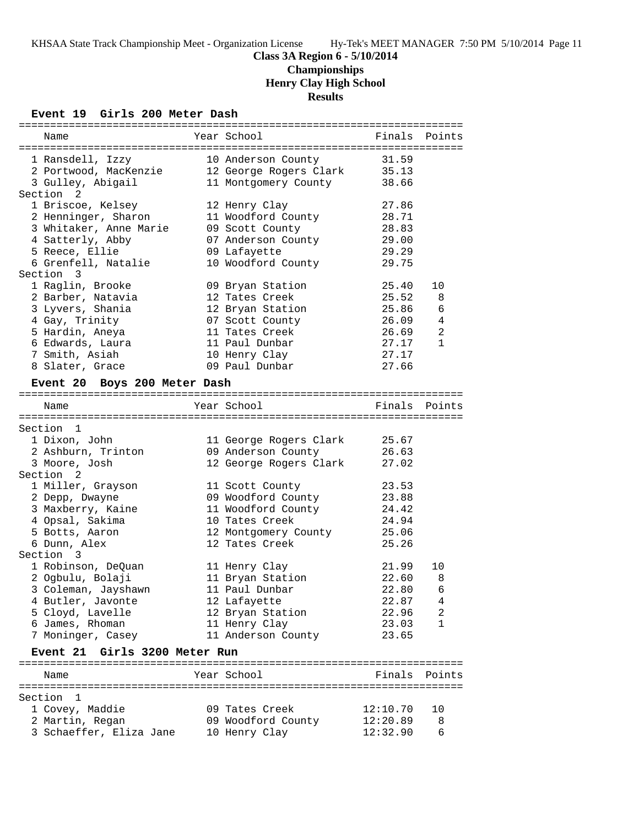## **Class 3A Region 6 - 5/10/2014 Championships Henry Clay High School Results**

## **Event 19 Girls 200 Meter Dash**

| Name                          | Year School            |          | Finals Points   |
|-------------------------------|------------------------|----------|-----------------|
|                               |                        |          |                 |
| 1 Ransdell, Izzy              | 10 Anderson County     | 31.59    |                 |
| 2 Portwood, MacKenzie         | 12 George Rogers Clark | 35.13    |                 |
| 3 Gulley, Abigail             | 11 Montgomery County   | 38.66    |                 |
| Section 2                     |                        |          |                 |
| 1 Briscoe, Kelsey             | 12 Henry Clay          | 27.86    |                 |
| 2 Henninger, Sharon           | 11 Woodford County     | 28.71    |                 |
| 3 Whitaker, Anne Marie        | 09 Scott County        | 28.83    |                 |
| 4 Satterly, Abby              | 07 Anderson County     | 29.00    |                 |
| 5 Reece, Ellie                | 09 Lafayette           | 29.29    |                 |
| 6 Grenfell, Natalie           |                        | 29.75    |                 |
| Section 3                     | 10 Woodford County     |          |                 |
|                               |                        |          |                 |
| 1 Raglin, Brooke              | 09 Bryan Station       | 25.40    | 10              |
| 2 Barber, Natavia             | 12 Tates Creek         | 25.52    | 8               |
| 3 Lyvers, Shania              | 12 Bryan Station       | 25.86    | 6               |
| 4 Gay, Trinity                | 07 Scott County        | 26.09    | 4               |
| 5 Hardin, Aneya               | 11 Tates Creek         | 26.69    | 2               |
| 6 Edwards, Laura              | 11 Paul Dunbar         | 27.17    | $\mathbf{1}$    |
| 7 Smith, Asiah                | 10 Henry Clay          | 27.17    |                 |
| 8 Slater, Grace               | 09 Paul Dunbar         | 27.66    |                 |
|                               |                        |          |                 |
| Event 20 Boys 200 Meter Dash  |                        |          |                 |
|                               | Year School            |          |                 |
| Name                          |                        |          | Finals Points   |
|                               |                        |          |                 |
| Section 1                     |                        |          |                 |
| 1 Dixon, John                 | 11 George Rogers Clark | 25.67    |                 |
| 2 Ashburn, Trinton            | 09 Anderson County     | 26.63    |                 |
| 3 Moore, Josh                 | 12 George Rogers Clark | 27.02    |                 |
| Section 2                     |                        |          |                 |
| 1 Miller, Grayson             | 11 Scott County        | 23.53    |                 |
| 2 Depp, Dwayne                | 09 Woodford County     | 23.88    |                 |
| 3 Maxberry, Kaine             | 11 Woodford County     | 24.42    |                 |
| 4 Opsal, Sakima               | 10 Tates Creek         | 24.94    |                 |
| 5 Botts, Aaron                | 12 Montgomery County   | 25.06    |                 |
| 6 Dunn, Alex                  | 12 Tates Creek         | 25.26    |                 |
| Section 3                     |                        |          |                 |
| 1 Robinson, DeQuan            | 11 Henry Clay          | 21.99    | 10              |
| 2 Ogbulu, Bolaji              | 11 Bryan Station       | 22.60    | 8               |
| 3 Coleman, Jayshawn           | 11 Paul Dunbar         | 22.80    | $6\overline{6}$ |
|                               |                        | 22.87    |                 |
| 4 Butler, Javonte             | 12 Lafayette           |          | 4               |
| 5 Cloyd, Lavelle              | 12 Bryan Station       | 22.96    | 2               |
| 6 James, Rhoman               | 11 Henry Clay          | 23.03    | 1               |
| 7 Moninger, Casey             | 11 Anderson County     | 23.65    |                 |
| Event 21 Girls 3200 Meter Run |                        |          |                 |
|                               |                        |          |                 |
| Name                          | Year School            | Finals   | Points          |
|                               |                        |          |                 |
| Section 1                     |                        |          |                 |
| 1 Covey, Maddie               | 09 Tates Creek         | 12:10.70 | 10              |
| 2 Martin, Regan               | 09 Woodford County     | 12:20.89 | 8               |
| 3 Schaeffer, Eliza Jane       | 10 Henry Clay          | 12:32.90 | 6               |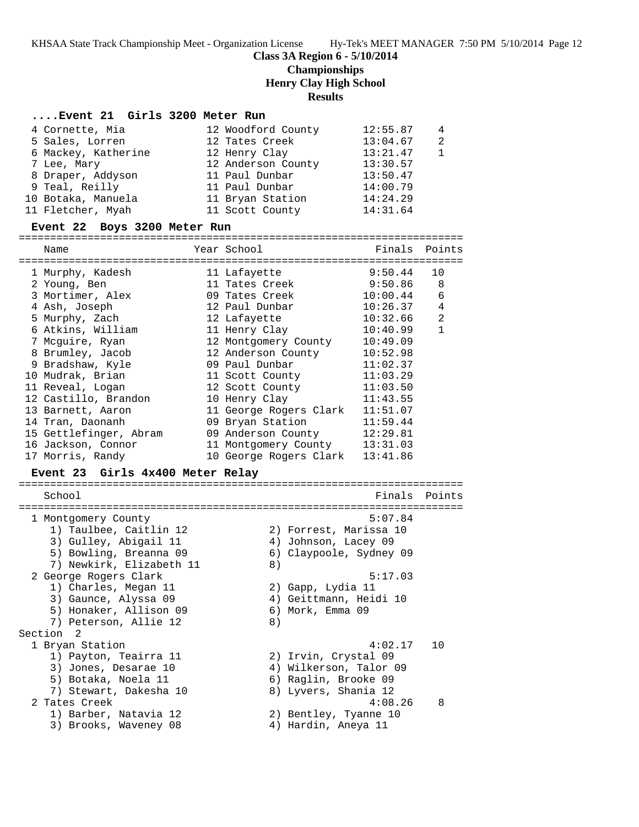### **Class 3A Region 6 - 5/10/2014**

**Championships**

**Henry Clay High School**

**Results**

#### **....Event 21 Girls 3200 Meter Run**

| 4 Cornette, Mia     | 12 Woodford County | 12:55.87 | 4             |
|---------------------|--------------------|----------|---------------|
| 5 Sales, Lorren     | 12 Tates Creek     | 13:04.67 | $\mathcal{L}$ |
| 6 Mackey, Katherine | 12 Henry Clay      | 13:21.47 |               |
| 7 Lee, Mary         | 12 Anderson County | 13:30.57 |               |
| 8 Draper, Addyson   | 11 Paul Dunbar     | 13:50.47 |               |
| 9 Teal, Reilly      | 11 Paul Dunbar     | 14:00.79 |               |
| 10 Botaka, Manuela  | 11 Bryan Station   | 14:24.29 |               |
| 11 Fletcher, Myah   | 11 Scott County    | 14:31.64 |               |

### **Event 22 Boys 3200 Meter Run**

======================================================================= Name Year School Finals Points ======================================================================= 1 Murphy, Kadesh 11 Lafayette 9:50.44 10 2 Young, Ben 11 Tates Creek 9:50.86 8 3 Mortimer, Alex 09 Tates Creek 10:00.44 6 4 Ash, Joseph 12 Paul Dunbar 10:26.37 4 5 Murphy, Zach 12 Lafayette 10:32.66 2 6 Atkins, William 11 Henry Clay 10:40.99 1 7 Mcguire, Ryan 12 Montgomery County 10:49.09 8 Brumley, Jacob 12 Anderson County 10:52.98 9 Bradshaw, Kyle 09 Paul Dunbar 11:02.37 10 Mudrak, Brian 11 Scott County 11:03.29 11 Reveal, Logan 12 Scott County 11:03.50 12 Castillo, Brandon 10 Henry Clay 11:43.55 13 Barnett, Aaron 11 George Rogers Clark 11:51.07 14 Tran, Daonanh 09 Bryan Station 11:59.44 15 Gettlefinger, Abram 09 Anderson County 12:29.81 16 Jackson, Connor 11 Montgomery County 13:31.03

17 Morris, Randy 10 George Rogers Clark 13:41.86

#### **Event 23 Girls 4x400 Meter Relay**

| School                   | Finals Points           |
|--------------------------|-------------------------|
|                          |                         |
| 1 Montgomery County      | 5:07.84                 |
| 1) Taulbee, Caitlin 12   | 2) Forrest, Marissa 10  |
| 3) Gulley, Abigail 11    | 4) Johnson, Lacey 09    |
| 5) Bowling, Breanna 09   | 6) Claypoole, Sydney 09 |
| 7) Newkirk, Elizabeth 11 | 8)                      |
| 2 George Rogers Clark    | 5:17.03                 |
| 1) Charles, Megan 11     | 2) Gapp, Lydia 11       |
| 3) Gaunce, Alyssa 09     | 4) Geittmann, Heidi 10  |
| 5) Honaker, Allison 09   | 6) Mork, Emma 09        |
| 7) Peterson, Allie 12    | 8)                      |
| Section <sub>2</sub>     |                         |
| 1 Bryan Station          | 4:02.17<br>1 O          |
| 1) Payton, Teairra 11    | 2) Irvin, Crystal 09    |
| 3) Jones, Desarae 10     | 4) Wilkerson, Talor 09  |
| 5) Botaka, Noela 11      | 6) Raglin, Brooke 09    |
| 7) Stewart, Dakesha 10   | 8) Lyvers, Shania 12    |
| 2 Tates Creek            | 4:08.26<br>8            |
| 1) Barber, Natavia 12    | 2) Bentley, Tyanne 10   |
| 3) Brooks, Waveney 08    | 4) Hardin, Aneya 11     |
|                          |                         |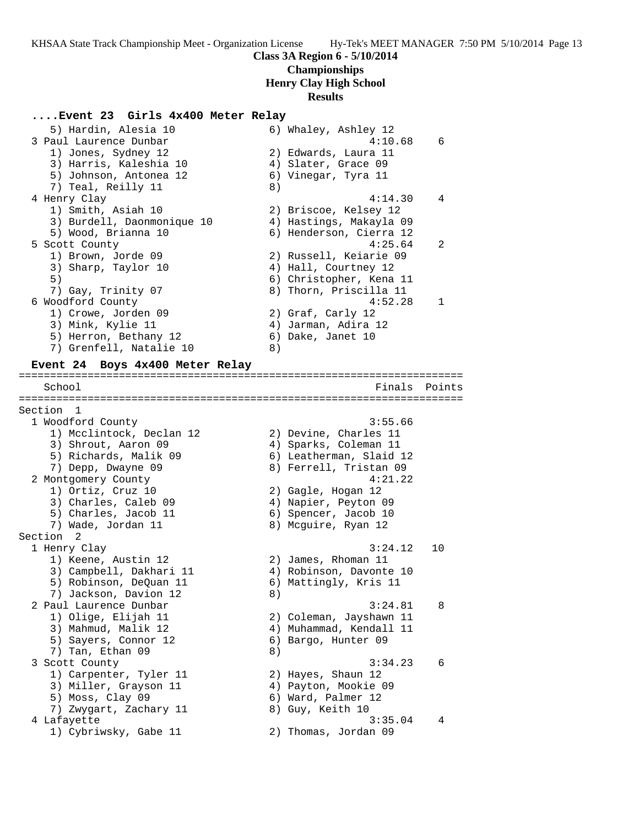## **Class 3A Region 6 - 5/10/2014 Championships Henry Clay High School**

# **Results**

## **....Event 23 Girls 4x400 Meter Relay**

| 5) Hardin, Alesia 10<br>3 Paul Laurence Dunbar |    | 6) Whaley, Ashley 12<br>4:10.68 | 6      |
|------------------------------------------------|----|---------------------------------|--------|
| 1) Jones, Sydney 12                            |    | 2) Edwards, Laura 11            |        |
| 3) Harris, Kaleshia 10                         |    | 4) Slater, Grace 09             |        |
| 5) Johnson, Antonea 12                         |    | 6) Vinegar, Tyra 11             |        |
| 7) Teal, Reilly 11                             | 8) |                                 |        |
| 4 Henry Clay                                   |    | 4:14.30                         | 4      |
| 1) Smith, Asiah 10                             |    | 2) Briscoe, Kelsey 12           |        |
| 3) Burdell, Daonmonique 10                     |    | 4) Hastings, Makayla 09         |        |
| 5) Wood, Brianna 10                            |    | 6) Henderson, Cierra 12         |        |
| 5 Scott County                                 |    | 4:25.64                         | 2      |
| 1) Brown, Jorde 09                             |    | 2) Russell, Keiarie 09          |        |
| 3) Sharp, Taylor 10                            |    | 4) Hall, Courtney 12            |        |
| 5)                                             |    | 6) Christopher, Kena 11         |        |
| 7) Gay, Trinity 07                             |    | 8) Thorn, Priscilla 11          |        |
| 6 Woodford County                              |    | 4:52.28                         | 1      |
| 1) Crowe, Jorden 09                            |    | 2) Graf, Carly 12               |        |
| 3) Mink, Kylie 11                              |    | 4) Jarman, Adira 12             |        |
| 5) Herron, Bethany 12                          |    | 6) Dake, Janet 10               |        |
| 7) Grenfell, Natalie 10                        | 8) |                                 |        |
| Event 24 Boys 4x400 Meter Relay                |    |                                 |        |
|                                                |    |                                 |        |
| School                                         |    | Finals                          | Points |
| ==========<br>Section 1                        |    |                                 |        |
| 1 Woodford County                              |    | 3:55.66                         |        |
| 1) Mcclintock, Declan 12                       |    | 2) Devine, Charles 11           |        |
| 3) Shrout, Aaron 09                            |    | 4) Sparks, Coleman 11           |        |
| 5) Richards, Malik 09                          |    | 6) Leatherman, Slaid 12         |        |
| 7) Depp, Dwayne 09                             |    | 8) Ferrell, Tristan 09          |        |
| 2 Montgomery County                            |    | 4:21.22                         |        |
| 1) Ortiz, Cruz 10                              |    | 2) Gagle, Hogan 12              |        |
| 3) Charles, Caleb 09                           |    | 4) Napier, Peyton 09            |        |
| 5) Charles, Jacob 11                           |    | 6) Spencer, Jacob 10            |        |
| 7) Wade, Jordan 11                             |    | 8) Mcguire, Ryan 12             |        |
| Section<br>$\overline{\phantom{0}}^2$          |    |                                 |        |
| 1 Henry Clay                                   |    | 3:24.12                         | 10     |
| 1) Keene, Austin 12                            |    |                                 |        |
| 3) Campbell, Dakhari 11                        |    | 2) James, Rhoman 11             |        |
|                                                |    |                                 |        |
| 5) Robinson, DeQuan 11                         |    | 4) Robinson, Davonte 10         |        |
| 7) Jackson, Davion 12                          | 8) | 6) Mattingly, Kris 11           |        |
| 2 Paul Laurence Dunbar                         |    | 3:24.81                         | 8      |
| 1) Olige, Elijah 11                            |    | 2) Coleman, Jayshawn 11         |        |
| 3) Mahmud, Malik 12                            |    | 4) Muhammad, Kendall 11         |        |
| 5) Sayers, Connor 12                           |    | 6) Bargo, Hunter 09             |        |
| 7) Tan, Ethan 09                               | 8) |                                 |        |
| 3 Scott County                                 |    | 3:34.23                         | 6      |
| 1) Carpenter, Tyler 11                         |    | 2) Hayes, Shaun 12              |        |
| 3) Miller, Grayson 11                          |    | 4) Payton, Mookie 09            |        |
| 5) Moss, Clay 09                               |    | 6) Ward, Palmer 12              |        |
| 7) Zwygart, Zachary 11<br>4 Lafayette          |    | 8) Guy, Keith 10                |        |

1) Cybriwsky, Gabe 11 2) Thomas, Jordan 09